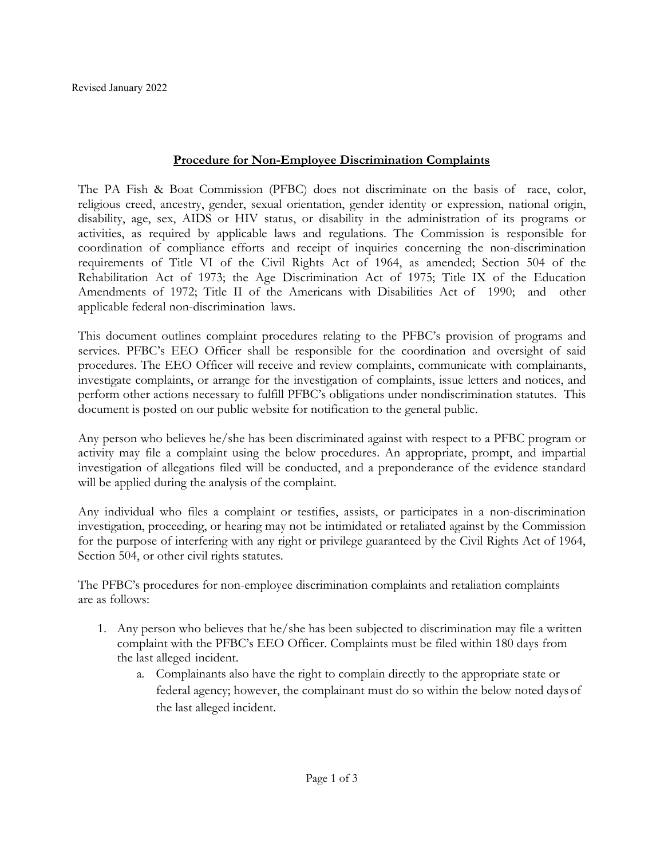## **Procedure for Non-Employee Discrimination Complaints**

The PA Fish & Boat Commission (PFBC) does not discriminate on the basis of race, color, religious creed, ancestry, gender, sexual orientation, gender identity or expression, national origin, disability, age, sex, AIDS or HIV status, or disability in the administration of its programs or activities, as required by applicable laws and regulations. The Commission is responsible for coordination of compliance efforts and receipt of inquiries concerning the non-discrimination requirements of Title VI of the Civil Rights Act of 1964, as amended; Section 504 of the Rehabilitation Act of 1973; the Age Discrimination Act of 1975; Title IX of the Education Amendments of 1972; Title II of the Americans with Disabilities Act of 1990; and other applicable federal non-discrimination laws.

This document outlines complaint procedures relating to the PFBC's provision of programs and services. PFBC's EEO Officer shall be responsible for the coordination and oversight of said procedures. The EEO Officer will receive and review complaints, communicate with complainants, investigate complaints, or arrange for the investigation of complaints, issue letters and notices, and perform other actions necessary to fulfill PFBC's obligations under nondiscrimination statutes. This document is posted on our public website for notification to the general public.

Any person who believes he/she has been discriminated against with respect to a PFBC program or activity may file a complaint using the below procedures. An appropriate, prompt, and impartial investigation of allegations filed will be conducted, and a preponderance of the evidence standard will be applied during the analysis of the complaint.

Any individual who files a complaint or testifies, assists, or participates in a non-discrimination investigation, proceeding, or hearing may not be intimidated or retaliated against by the Commission for the purpose of interfering with any right or privilege guaranteed by the Civil Rights Act of 1964, Section 504, or other civil rights statutes.

The PFBC's procedures for non-employee discrimination complaints and retaliation complaints are as follows:

- 1. Any person who believes that he/she has been subjected to discrimination may file a written complaint with the PFBC's EEO Officer. Complaints must be filed within 180 days from the last alleged incident.
	- a. Complainants also have the right to complain directly to the appropriate state or federal agency; however, the complainant must do so within the below noted daysof the last alleged incident.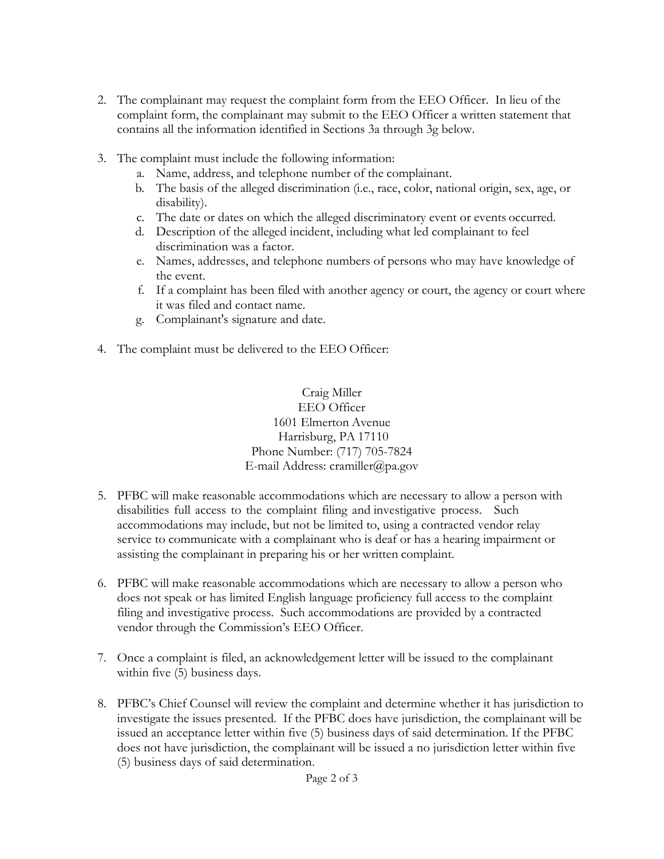- 2. The complainant may request the complaint form from the EEO Officer. In lieu of the complaint form, the complainant may submit to the EEO Officer a written statement that contains all the information identified in Sections 3a through 3g below.
- 3. The complaint must include the following information:
	- a. Name, address, and telephone number of the complainant.
	- b. The basis of the alleged discrimination (i.e., race, color, national origin, sex, age, or disability).
	- c. The date or dates on which the alleged discriminatory event or events occurred.
	- d. Description of the alleged incident, including what led complainant to feel discrimination was a factor.
	- e. Names, addresses, and telephone numbers of persons who may have knowledge of the event.
	- f. If a complaint has been filed with another agency or court, the agency or court where it was filed and contact name.
	- g. Complainant's signature and date.
- 4. The complaint must be delivered to the EEO Officer:

Craig Miller EEO Officer 1601 Elmerton Avenue Harrisburg, PA 17110 Phone Number: (717) 705-7824 E-mail Address: [cramiller@pa.gov](mailto:cramiller@pa.gov)

- 5. PFBC will make reasonable accommodations which are necessary to allow a person with disabilities full access to the complaint filing and investigative process. Such accommodations may include, but not be limited to, using a contracted vendor relay service to communicate with a complainant who is deaf or has a hearing impairment or assisting the complainant in preparing his or her written complaint.
- 6. PFBC will make reasonable accommodations which are necessary to allow a person who does not speak or has limited English language proficiency full access to the complaint filing and investigative process. Such accommodations are provided by a contracted vendor through the Commission's EEO Officer.
- 7. Once a complaint is filed, an acknowledgement letter will be issued to the complainant within five (5) business days.
- 8. PFBC's Chief Counsel will review the complaint and determine whether it has jurisdiction to investigate the issues presented. If the PFBC does have jurisdiction, the complainant will be issued an acceptance letter within five (5) business days of said determination. If the PFBC does not have jurisdiction, the complainant will be issued a no jurisdiction letter within five (5) business days of said determination.